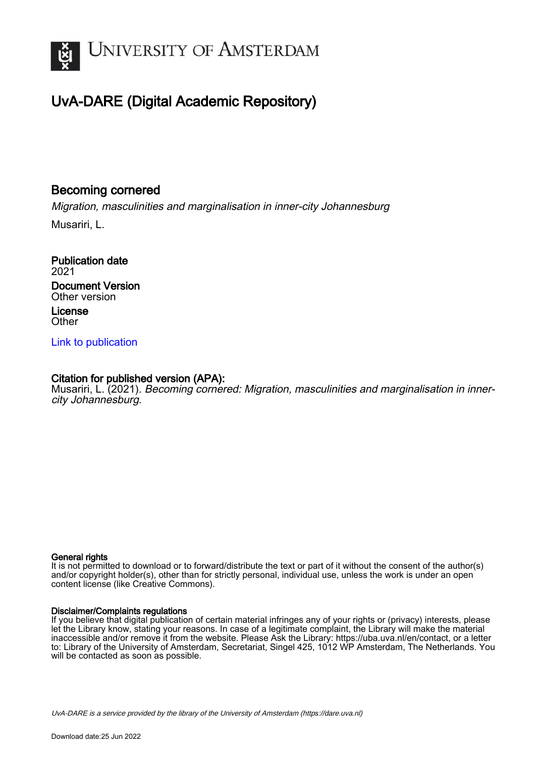

# UvA-DARE (Digital Academic Repository)

# Becoming cornered

Migration, masculinities and marginalisation in inner-city Johannesburg Musariri, L.

Publication date 2021 Document Version Other version License **Other** 

[Link to publication](https://dare.uva.nl/personal/pure/en/publications/becoming-cornered(75dbf251-7c02-4d38-bb49-7397ab0e75cc).html)

### Citation for published version (APA):

Musariri, L. (2021). Becoming cornered: Migration, masculinities and marginalisation in innercity Johannesburg.

### General rights

It is not permitted to download or to forward/distribute the text or part of it without the consent of the author(s) and/or copyright holder(s), other than for strictly personal, individual use, unless the work is under an open content license (like Creative Commons).

### Disclaimer/Complaints regulations

If you believe that digital publication of certain material infringes any of your rights or (privacy) interests, please let the Library know, stating your reasons. In case of a legitimate complaint, the Library will make the material inaccessible and/or remove it from the website. Please Ask the Library: https://uba.uva.nl/en/contact, or a letter to: Library of the University of Amsterdam, Secretariat, Singel 425, 1012 WP Amsterdam, The Netherlands. You will be contacted as soon as possible.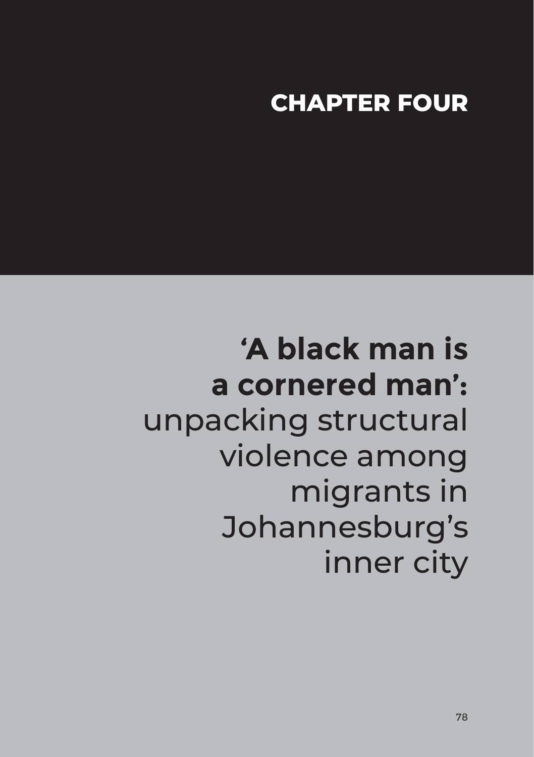# **CHAPTER FOUR**

**'A black man is a cornered man':** unpacking structural violence among migrants in Johannesburg's inner city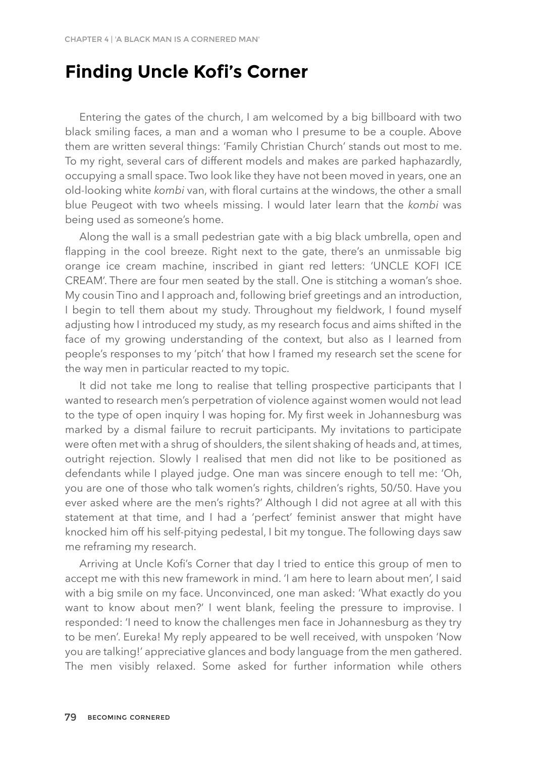# **Finding Uncle Kofi's Corner**

Entering the gates of the church, I am welcomed by a big billboard with two black smiling faces, a man and a woman who I presume to be a couple. Above them are written several things: 'Family Christian Church' stands out most to me. To my right, several cars of different models and makes are parked haphazardly, occupying a small space. Two look like they have not been moved in years, one an old-looking white *kombi* van, with floral curtains at the windows, the other a small blue Peugeot with two wheels missing. I would later learn that the *kombi* was being used as someone's home.

Along the wall is a small pedestrian gate with a big black umbrella, open and flapping in the cool breeze. Right next to the gate, there's an unmissable big orange ice cream machine, inscribed in giant red letters: 'UNCLE KOFI ICE CREAM'. There are four men seated by the stall. One is stitching a woman's shoe. My cousin Tino and I approach and, following brief greetings and an introduction, I begin to tell them about my study. Throughout my fieldwork, I found myself adjusting how I introduced my study, as my research focus and aims shifted in the face of my growing understanding of the context, but also as I learned from people's responses to my 'pitch' that how I framed my research set the scene for the way men in particular reacted to my topic.

It did not take me long to realise that telling prospective participants that I wanted to research men's perpetration of violence against women would not lead to the type of open inquiry I was hoping for. My first week in Johannesburg was marked by a dismal failure to recruit participants. My invitations to participate were often met with a shrug of shoulders, the silent shaking of heads and, at times, outright rejection. Slowly I realised that men did not like to be positioned as defendants while I played judge. One man was sincere enough to tell me: 'Oh, you are one of those who talk women's rights, children's rights, 50/50. Have you ever asked where are the men's rights?' Although I did not agree at all with this statement at that time, and I had a 'perfect' feminist answer that might have knocked him off his self-pitying pedestal, I bit my tongue. The following days saw me reframing my research.

Arriving at Uncle Kofi's Corner that day I tried to entice this group of men to accept me with this new framework in mind. 'I am here to learn about men', I said with a big smile on my face. Unconvinced, one man asked: 'What exactly do you want to know about men?' I went blank, feeling the pressure to improvise. I responded: 'I need to know the challenges men face in Johannesburg as they try to be men'. Eureka! My reply appeared to be well received, with unspoken 'Now you are talking!' appreciative glances and body language from the men gathered. The men visibly relaxed. Some asked for further information while others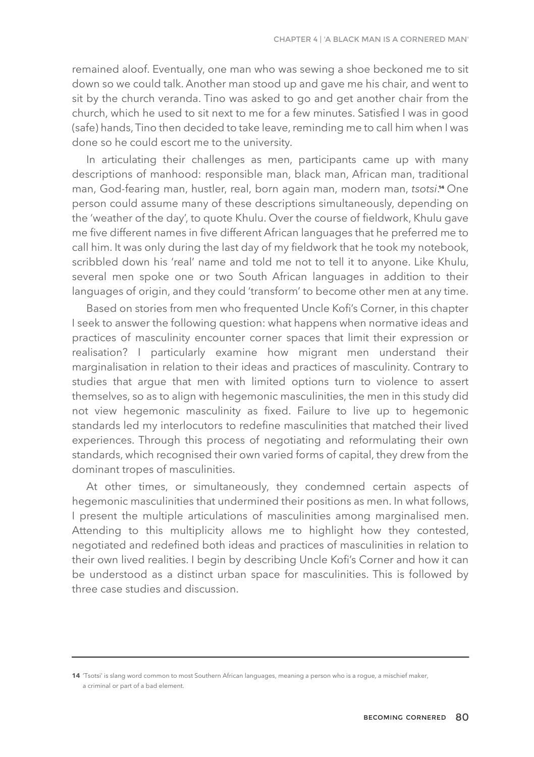remained aloof. Eventually, one man who was sewing a shoe beckoned me to sit down so we could talk. Another man stood up and gave me his chair, and went to sit by the church veranda. Tino was asked to go and get another chair from the church, which he used to sit next to me for a few minutes. Satisfied I was in good (safe) hands, Tino then decided to take leave, reminding me to call him when I was done so he could escort me to the university.

In articulating their challenges as men, participants came up with many descriptions of manhood: responsible man, black man, African man, traditional man, God-fearing man, hustler, real, born again man, modern man, *tsotsi.*" One person could assume many of these descriptions simultaneously, depending on the 'weather of the day', to quote Khulu. Over the course of fieldwork, Khulu gave me five different names in five different African languages that he preferred me to call him. It was only during the last day of my fieldwork that he took my notebook, scribbled down his 'real' name and told me not to tell it to anyone. Like Khulu, several men spoke one or two South African languages in addition to their languages of origin, and they could 'transform' to become other men at any time.

Based on stories from men who frequented Uncle Kofi's Corner, in this chapter I seek to answer the following question: what happens when normative ideas and practices of masculinity encounter corner spaces that limit their expression or realisation? I particularly examine how migrant men understand their marginalisation in relation to their ideas and practices of masculinity. Contrary to studies that argue that men with limited options turn to violence to assert themselves, so as to align with hegemonic masculinities, the men in this study did not view hegemonic masculinity as fixed. Failure to live up to hegemonic standards led my interlocutors to redefine masculinities that matched their lived experiences. Through this process of negotiating and reformulating their own standards, which recognised their own varied forms of capital, they drew from the dominant tropes of masculinities.

At other times, or simultaneously, they condemned certain aspects of hegemonic masculinities that undermined their positions as men. In what follows, I present the multiple articulations of masculinities among marginalised men. Attending to this multiplicity allows me to highlight how they contested, negotiated and redefined both ideas and practices of masculinities in relation to their own lived realities. I begin by describing Uncle Kofi's Corner and how it can be understood as a distinct urban space for masculinities. This is followed by three case studies and discussion.

**<sup>14</sup>** 'Tsotsi' is slang word common to most Southern African languages, meaning a person who is a rogue, a mischief maker, a criminal or part of a bad element.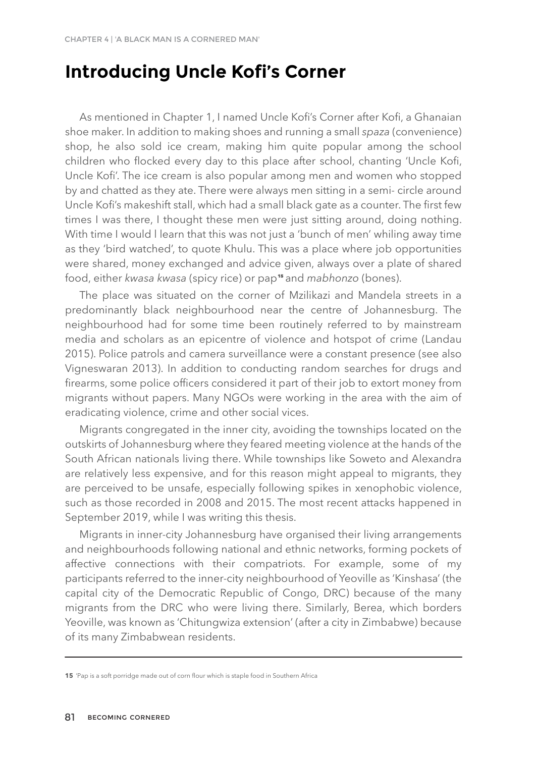## **Introducing Uncle Kofi's Corner**

As mentioned in Chapter 1, I named Uncle Kofi's Corner after Kofi, a Ghanaian shoe maker. In addition to making shoes and running a small *spaza* (convenience) shop, he also sold ice cream, making him quite popular among the school children who flocked every day to this place after school, chanting 'Uncle Kofi, Uncle Kofi'. The ice cream is also popular among men and women who stopped by and chatted as they ate. There were always men sitting in a semi- circle around Uncle Kofi's makeshift stall, which had a small black gate as a counter. The first few times I was there, I thought these men were just sitting around, doing nothing. With time I would l learn that this was not just a 'bunch of men' whiling away time as they 'bird watched', to quote Khulu. This was a place where job opportunities were shared, money exchanged and advice given, always over a plate of shared tood, either *kwasa kwasa* (spicy rice) or pap**15** and *mabhonzo* (bones).

The place was situated on the corner of Mzilikazi and Mandela streets in a predominantly black neighbourhood near the centre of Johannesburg. The neighbourhood had for some time been routinely referred to by mainstream media and scholars as an epicentre of violence and hotspot of crime (Landau 2015). Police patrols and camera surveillance were a constant presence (see also Vigneswaran 2013). In addition to conducting random searches for drugs and firearms, some police officers considered it part of their job to extort money from migrants without papers. Many NGOs were working in the area with the aim of eradicating violence, crime and other social vices.

Migrants congregated in the inner city, avoiding the townships located on the outskirts of Johannesburg where they feared meeting violence at the hands of the South African nationals living there. While townships like Soweto and Alexandra are relatively less expensive, and for this reason might appeal to migrants, they are perceived to be unsafe, especially following spikes in xenophobic violence, such as those recorded in 2008 and 2015. The most recent attacks happened in September 2019, while I was writing this thesis.

Migrants in inner-city Johannesburg have organised their living arrangements and neighbourhoods following national and ethnic networks, forming pockets of affective connections with their compatriots. For example, some of my participants referred to the inner-city neighbourhood of Yeoville as 'Kinshasa' (the capital city of the Democratic Republic of Congo, DRC) because of the many migrants from the DRC who were living there. Similarly, Berea, which borders Yeoville, was known as 'Chitungwiza extension' (after a city in Zimbabwe) because of its many Zimbabwean residents.

**15** 'Pap is a soft porridge made out of corn flour which is staple food in Southern Africa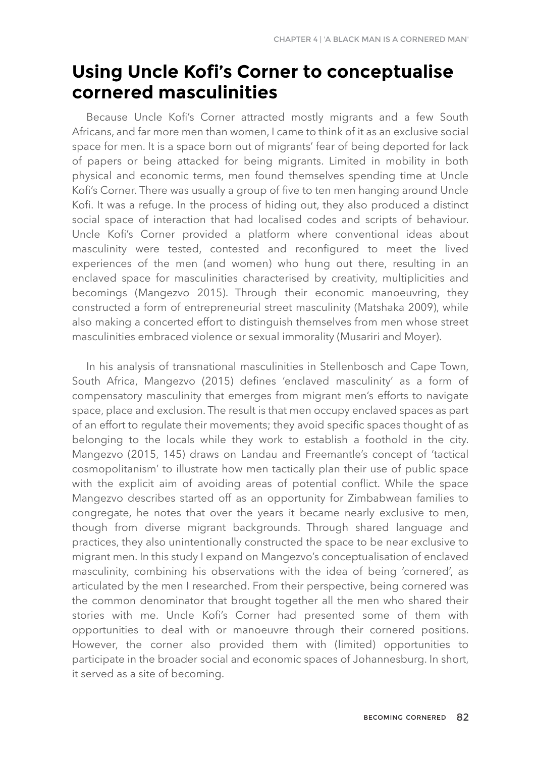# **Using Uncle Kofi's Corner to conceptualise cornered masculinities**

Because Uncle Kofi's Corner attracted mostly migrants and a few South Africans, and far more men than women, I came to think of it as an exclusive social space for men. It is a space born out of migrants' fear of being deported for lack of papers or being attacked for being migrants. Limited in mobility in both physical and economic terms, men found themselves spending time at Uncle Kofi's Corner. There was usually a group of five to ten men hanging around Uncle Kofi. It was a refuge. In the process of hiding out, they also produced a distinct social space of interaction that had localised codes and scripts of behaviour. Uncle Kofi's Corner provided a platform where conventional ideas about masculinity were tested, contested and reconfigured to meet the lived experiences of the men (and women) who hung out there, resulting in an enclaved space for masculinities characterised by creativity, multiplicities and becomings (Mangezvo 2015). Through their economic manoeuvring, they constructed a form of entrepreneurial street masculinity (Matshaka 2009), while also making a concerted effort to distinguish themselves from men whose street masculinities embraced violence or sexual immorality (Musariri and Moyer).

In his analysis of transnational masculinities in Stellenbosch and Cape Town, South Africa, Mangezvo (2015) defines 'enclaved masculinity' as a form of compensatory masculinity that emerges from migrant men's efforts to navigate space, place and exclusion. The result is that men occupy enclaved spaces as part of an effort to regulate their movements; they avoid specific spaces thought of as belonging to the locals while they work to establish a foothold in the city. Mangezvo (2015, 145) draws on Landau and Freemantle's concept of 'tactical cosmopolitanism' to illustrate how men tactically plan their use of public space with the explicit aim of avoiding areas of potential conflict. While the space Mangezvo describes started off as an opportunity for Zimbabwean families to congregate, he notes that over the years it became nearly exclusive to men, though from diverse migrant backgrounds. Through shared language and practices, they also unintentionally constructed the space to be near exclusive to migrant men. In this study I expand on Mangezvo's conceptualisation of enclaved masculinity, combining his observations with the idea of being 'cornered', as articulated by the men I researched. From their perspective, being cornered was the common denominator that brought together all the men who shared their stories with me. Uncle Kofi's Corner had presented some of them with opportunities to deal with or manoeuvre through their cornered positions. However, the corner also provided them with (limited) opportunities to participate in the broader social and economic spaces of Johannesburg. In short, it served as a site of becoming.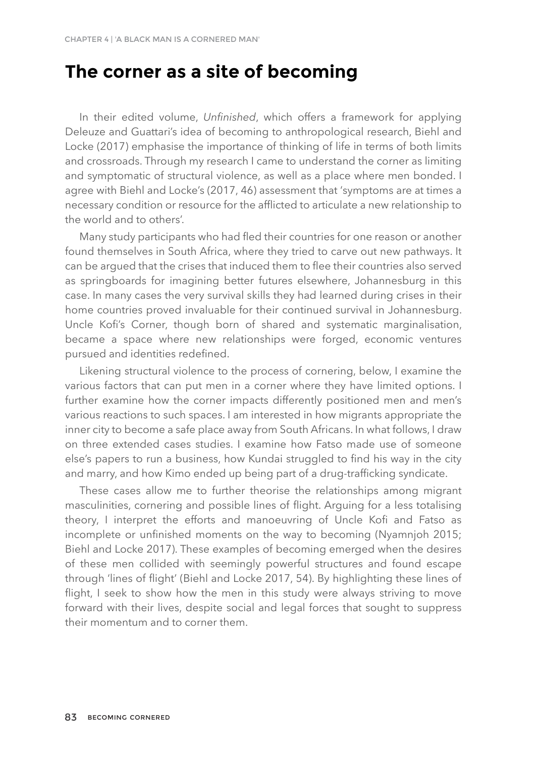### **The corner as a site of becoming**

In their edited volume, *Unfinished*, which offers a framework for applying Deleuze and Guattari's idea of becoming to anthropological research, Biehl and Locke (2017) emphasise the importance of thinking of life in terms of both limits and crossroads. Through my research I came to understand the corner as limiting and symptomatic of structural violence, as well as a place where men bonded. I agree with Biehl and Locke's (2017, 46) assessment that 'symptoms are at times a necessary condition or resource for the afflicted to articulate a new relationship to the world and to others'.

Many study participants who had fled their countries for one reason or another found themselves in South Africa, where they tried to carve out new pathways. It can be argued that the crises that induced them to flee their countries also served as springboards for imagining better futures elsewhere, Johannesburg in this case. In many cases the very survival skills they had learned during crises in their home countries proved invaluable for their continued survival in Johannesburg. Uncle Kofi's Corner, though born of shared and systematic marginalisation, became a space where new relationships were forged, economic ventures pursued and identities redefined.

Likening structural violence to the process of cornering, below, I examine the various factors that can put men in a corner where they have limited options. I further examine how the corner impacts differently positioned men and men's various reactions to such spaces. I am interested in how migrants appropriate the inner city to become a safe place away from South Africans. In what follows, I draw on three extended cases studies. I examine how Fatso made use of someone else's papers to run a business, how Kundai struggled to find his way in the city and marry, and how Kimo ended up being part of a drug-trafficking syndicate.

These cases allow me to further theorise the relationships among migrant masculinities, cornering and possible lines of flight. Arguing for a less totalising theory, I interpret the efforts and manoeuvring of Uncle Kofi and Fatso as incomplete or unfinished moments on the way to becoming (Nyamnjoh 2015; Biehl and Locke 2017). These examples of becoming emerged when the desires of these men collided with seemingly powerful structures and found escape through 'lines of flight' (Biehl and Locke 2017, 54). By highlighting these lines of flight, I seek to show how the men in this study were always striving to move forward with their lives, despite social and legal forces that sought to suppress their momentum and to corner them.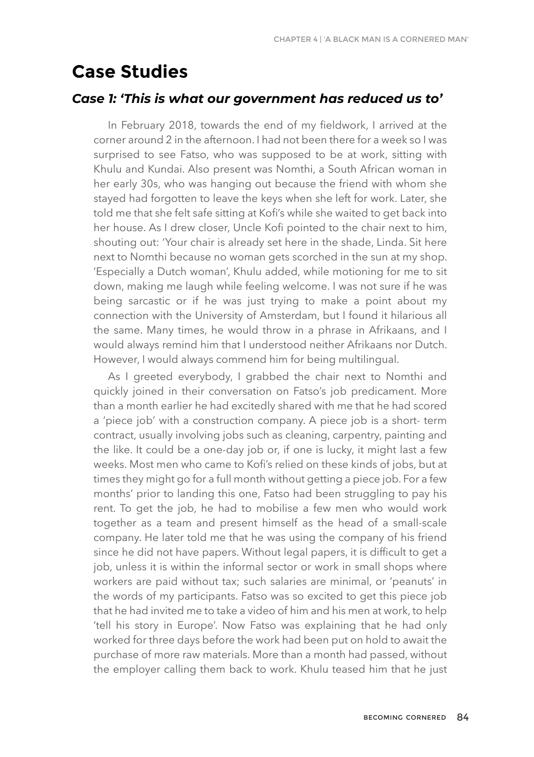# **Case Studies**

#### *Case 1: 'This is what our government has reduced us to'*

In February 2018, towards the end of my fieldwork, I arrived at the corner around 2 in the afternoon. I had not been there for a week so I was surprised to see Fatso, who was supposed to be at work, sitting with Khulu and Kundai. Also present was Nomthi, a South African woman in her early 30s, who was hanging out because the friend with whom she stayed had forgotten to leave the keys when she left for work. Later, she told me that she felt safe sitting at Kofi's while she waited to get back into her house. As I drew closer, Uncle Kofi pointed to the chair next to him, shouting out: 'Your chair is already set here in the shade, Linda. Sit here next to Nomthi because no woman gets scorched in the sun at my shop. 'Especially a Dutch woman', Khulu added, while motioning for me to sit down, making me laugh while feeling welcome. I was not sure if he was being sarcastic or if he was just trying to make a point about my connection with the University of Amsterdam, but I found it hilarious all the same. Many times, he would throw in a phrase in Afrikaans, and I would always remind him that I understood neither Afrikaans nor Dutch. However, I would always commend him for being multilingual.

As I greeted everybody, I grabbed the chair next to Nomthi and quickly joined in their conversation on Fatso's job predicament. More than a month earlier he had excitedly shared with me that he had scored a 'piece job' with a construction company. A piece job is a short- term contract, usually involving jobs such as cleaning, carpentry, painting and the like. It could be a one-day job or, if one is lucky, it might last a few weeks. Most men who came to Kofi's relied on these kinds of jobs, but at times they might go for a full month without getting a piece job. For a few months' prior to landing this one, Fatso had been struggling to pay his rent. To get the job, he had to mobilise a few men who would work together as a team and present himself as the head of a small-scale company. He later told me that he was using the company of his friend since he did not have papers. Without legal papers, it is difficult to get a job, unless it is within the informal sector or work in small shops where workers are paid without tax; such salaries are minimal, or 'peanuts' in the words of my participants. Fatso was so excited to get this piece job that he had invited me to take a video of him and his men at work, to help 'tell his story in Europe'. Now Fatso was explaining that he had only worked for three days before the work had been put on hold to await the purchase of more raw materials. More than a month had passed, without the employer calling them back to work. Khulu teased him that he just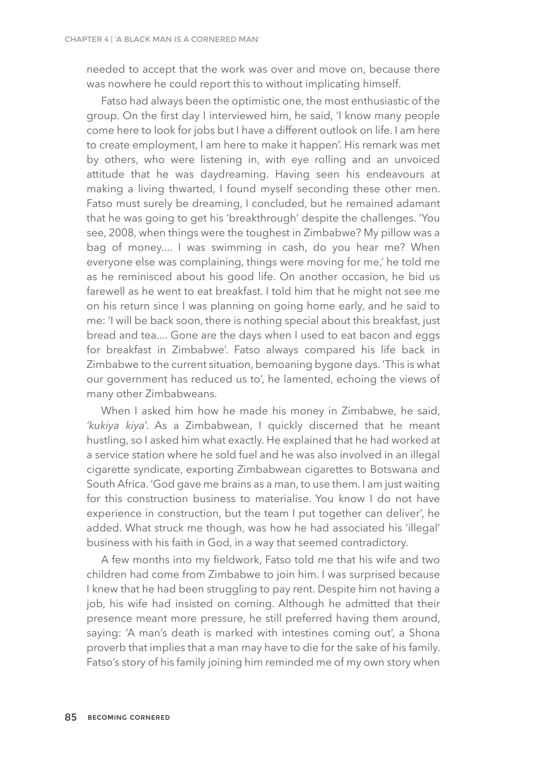needed to accept that the work was over and move on, because there was nowhere he could report this to without implicating himself.

Fatso had always been the optimistic one, the most enthusiastic of the group. On the first day I interviewed him, he said, 'I know many people come here to look for jobs but I have a different outlook on life. I am here to create employment, I am here to make it happen'. His remark was met by others, who were listening in, with eye rolling and an unvoiced attitude that he was daydreaming. Having seen his endeavours at making a living thwarted, I found myself seconding these other men. Fatso must surely be dreaming, I concluded, but he remained adamant that he was going to get his 'breakthrough' despite the challenges. 'You see, 2008, when things were the toughest in Zimbabwe? My pillow was a bag of money.... I was swimming in cash, do you hear me? When everyone else was complaining, things were moving for me,' he told me as he reminisced about his good life. On another occasion, he bid us farewell as he went to eat breakfast. I told him that he might not see me on his return since I was planning on going home early, and he said to me: 'I will be back soon, there is nothing special about this breakfast, just bread and tea.... Gone are the days when I used to eat bacon and eggs for breakfast in Zimbabwe'. Fatso always compared his life back in Zimbabwe to the current situation, bemoaning bygone days. 'This is what our government has reduced us to', he lamented, echoing the views of many other Zimbabweans.

When I asked him how he made his money in Zimbabwe, he said, *'kukiya kiya*'. As a Zimbabwean, I quickly discerned that he meant hustling, so I asked him what exactly. He explained that he had worked at a service station where he sold fuel and he was also involved in an illegal cigarette syndicate, exporting Zimbabwean cigarettes to Botswana and South Africa. 'God gave me brains as a man, to use them. I am just waiting for this construction business to materialise. You know I do not have experience in construction, but the team I put together can deliver', he added. What struck me though, was how he had associated his 'illegal' business with his faith in God, in a way that seemed contradictory.

A few months into my fieldwork, Fatso told me that his wife and two children had come from Zimbabwe to join him. I was surprised because I knew that he had been struggling to pay rent. Despite him not having a job, his wife had insisted on coming. Although he admitted that their presence meant more pressure, he still preferred having them around, saying: 'A man's death is marked with intestines coming out', a Shona proverb that implies that a man may have to die for the sake of his family. Fatso's story of his family joining him reminded me of my own story when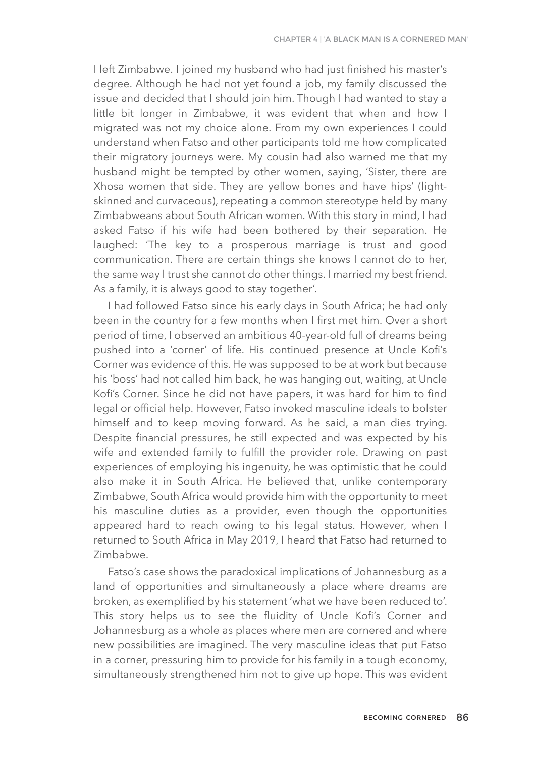I left Zimbabwe. I joined my husband who had just finished his master's degree. Although he had not yet found a job, my family discussed the issue and decided that I should join him. Though I had wanted to stay a little bit longer in Zimbabwe, it was evident that when and how I migrated was not my choice alone. From my own experiences I could understand when Fatso and other participants told me how complicated their migratory journeys were. My cousin had also warned me that my husband might be tempted by other women, saying, 'Sister, there are Xhosa women that side. They are yellow bones and have hips' (lightskinned and curvaceous), repeating a common stereotype held by many Zimbabweans about South African women. With this story in mind, I had asked Fatso if his wife had been bothered by their separation. He laughed: 'The key to a prosperous marriage is trust and good communication. There are certain things she knows I cannot do to her, the same way I trust she cannot do other things. I married my best friend. As a family, it is always good to stay together'.

I had followed Fatso since his early days in South Africa; he had only been in the country for a few months when I first met him. Over a short period of time, I observed an ambitious 40-year-old full of dreams being pushed into a 'corner' of life. His continued presence at Uncle Kofi's Corner was evidence of this. He was supposed to be at work but because his 'boss' had not called him back, he was hanging out, waiting, at Uncle Kofi's Corner. Since he did not have papers, it was hard for him to find legal or official help. However, Fatso invoked masculine ideals to bolster himself and to keep moving forward. As he said, a man dies trying. Despite financial pressures, he still expected and was expected by his wife and extended family to fulfill the provider role. Drawing on past experiences of employing his ingenuity, he was optimistic that he could also make it in South Africa. He believed that, unlike contemporary Zimbabwe, South Africa would provide him with the opportunity to meet his masculine duties as a provider, even though the opportunities appeared hard to reach owing to his legal status. However, when I returned to South Africa in May 2019, I heard that Fatso had returned to Zimbabwe.

Fatso's case shows the paradoxical implications of Johannesburg as a land of opportunities and simultaneously a place where dreams are broken, as exemplified by his statement 'what we have been reduced to'. This story helps us to see the fluidity of Uncle Kofi's Corner and Johannesburg as a whole as places where men are cornered and where new possibilities are imagined. The very masculine ideas that put Fatso in a corner, pressuring him to provide for his family in a tough economy, simultaneously strengthened him not to give up hope. This was evident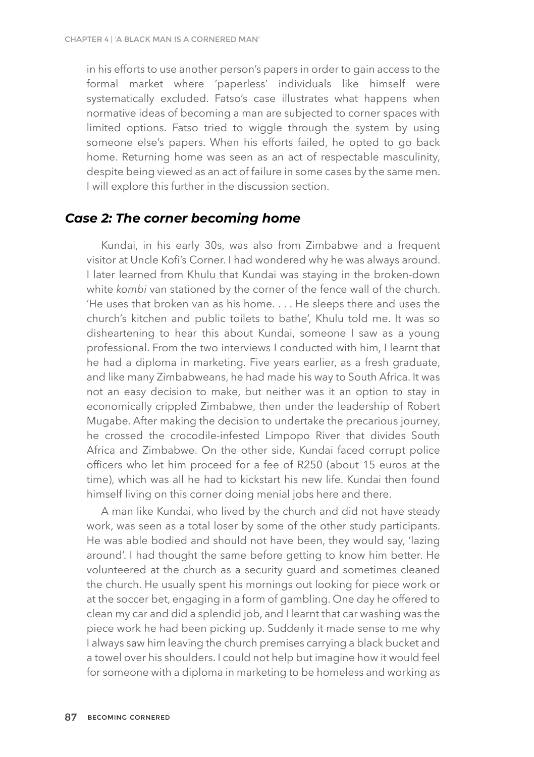in his efforts to use another person's papers in order to gain access to the formal market where 'paperless' individuals like himself were systematically excluded. Fatso's case illustrates what happens when normative ideas of becoming a man are subjected to corner spaces with limited options. Fatso tried to wiggle through the system by using someone else's papers. When his efforts failed, he opted to go back home. Returning home was seen as an act of respectable masculinity, despite being viewed as an act of failure in some cases by the same men. I will explore this further in the discussion section.

### *Case 2: The corner becoming home*

Kundai, in his early 30s, was also from Zimbabwe and a frequent visitor at Uncle Kofi's Corner. I had wondered why he was always around. I later learned from Khulu that Kundai was staying in the broken-down white *kombi* van stationed by the corner of the fence wall of the church. 'He uses that broken van as his home. . . . He sleeps there and uses the church's kitchen and public toilets to bathe', Khulu told me. It was so disheartening to hear this about Kundai, someone I saw as a young professional. From the two interviews I conducted with him, I learnt that he had a diploma in marketing. Five years earlier, as a fresh graduate, and like many Zimbabweans, he had made his way to South Africa. It was not an easy decision to make, but neither was it an option to stay in economically crippled Zimbabwe, then under the leadership of Robert Mugabe. After making the decision to undertake the precarious journey, he crossed the crocodile-infested Limpopo River that divides South Africa and Zimbabwe. On the other side, Kundai faced corrupt police officers who let him proceed for a fee of R250 (about 15 euros at the time), which was all he had to kickstart his new life. Kundai then found himself living on this corner doing menial jobs here and there.

A man like Kundai, who lived by the church and did not have steady work, was seen as a total loser by some of the other study participants. He was able bodied and should not have been, they would say, 'lazing around'. I had thought the same before getting to know him better. He volunteered at the church as a security guard and sometimes cleaned the church. He usually spent his mornings out looking for piece work or at the soccer bet, engaging in a form of gambling. One day he offered to clean my car and did a splendid job, and I learnt that car washing was the piece work he had been picking up. Suddenly it made sense to me why I always saw him leaving the church premises carrying a black bucket and a towel over his shoulders. I could not help but imagine how it would feel for someone with a diploma in marketing to be homeless and working as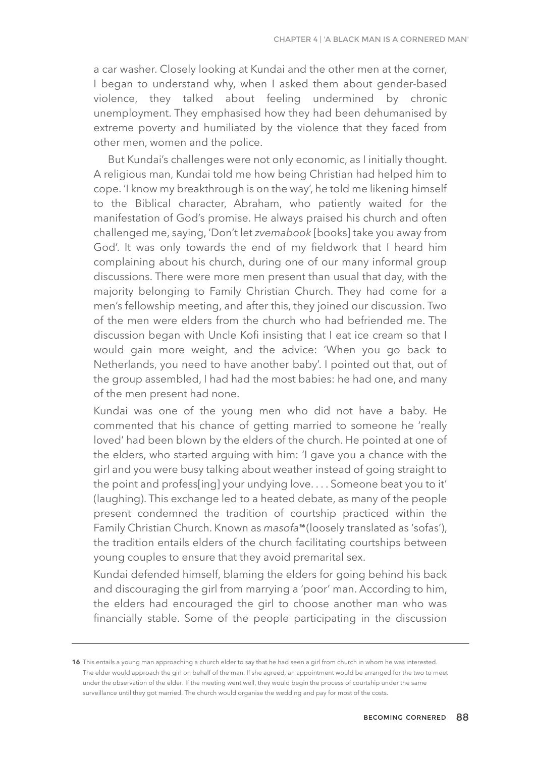a car washer. Closely looking at Kundai and the other men at the corner, I began to understand why, when I asked them about gender-based violence, they talked about feeling undermined by chronic unemployment. They emphasised how they had been dehumanised by extreme poverty and humiliated by the violence that they faced from other men, women and the police.

But Kundai's challenges were not only economic, as I initially thought. A religious man, Kundai told me how being Christian had helped him to cope. 'I know my breakthrough is on the way', he told me likening himself to the Biblical character, Abraham, who patiently waited for the manifestation of God's promise. He always praised his church and often challenged me, saying, 'Don't let *zvemabook* [books] take you away from God'. It was only towards the end of my fieldwork that I heard him complaining about his church, during one of our many informal group discussions. There were more men present than usual that day, with the majority belonging to Family Christian Church. They had come for a men's fellowship meeting, and after this, they joined our discussion. Two of the men were elders from the church who had befriended me. The discussion began with Uncle Kofi insisting that I eat ice cream so that I would gain more weight, and the advice: 'When you go back to Netherlands, you need to have another baby'. I pointed out that, out of the group assembled, I had had the most babies: he had one, and many of the men present had none.

Kundai was one of the young men who did not have a baby. He commented that his chance of getting married to someone he 'really loved' had been blown by the elders of the church. He pointed at one of the elders, who started arguing with him: 'I gave you a chance with the girl and you were busy talking about weather instead of going straight to the point and profess[ing] your undving love.... Someone beat you to it' (laughing). This exchange led to a heated debate, as many of the people present condemned the tradition of courtship practiced within the Family Christian Church. Known as *masofa* (loosely translated as 'sofas'), **16** the tradition entails elders of the church facilitating courtships between young couples to ensure that they avoid premarital sex.

Kundai defended himself, blaming the elders for going behind his back and discouraging the girl from marrying a 'poor' man. According to him, the elders had encouraged the girl to choose another man who was financially stable. Some of the people participating in the discussion

**<sup>16</sup>** This entails a young man approaching a church elder to say that he had seen a girl from church in whom he was interested. The elder would approach the girl on behalf of the man. If she agreed, an appointment would be arranged for the two to meet under the observation of the elder. If the meeting went well, they would begin the process of courtship under the same surveillance until they got married. The church would organise the wedding and pay for most of the costs.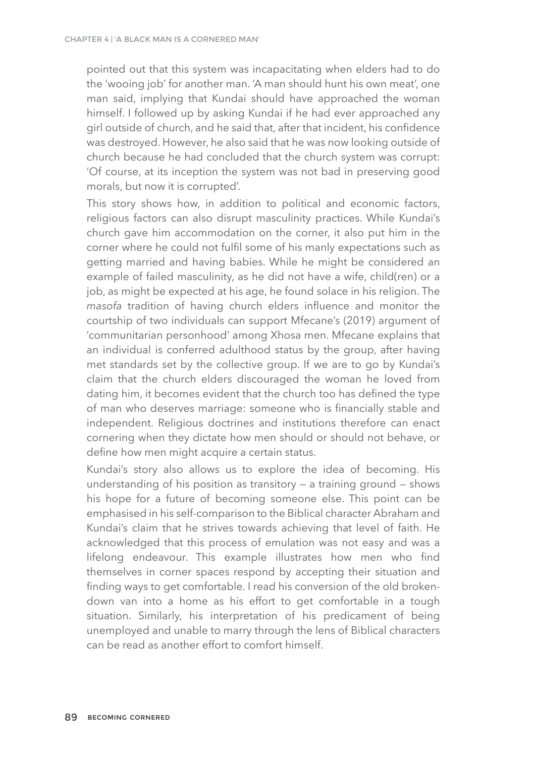pointed out that this system was incapacitating when elders had to do the 'wooing job' for another man. 'A man should hunt his own meat', one man said, implying that Kundai should have approached the woman himself. I followed up by asking Kundai if he had ever approached any girl outside of church, and he said that, after that incident, his confidence was destroyed. However, he also said that he was now looking outside of church because he had concluded that the church system was corrupt: 'Of course, at its inception the system was not bad in preserving good morals, but now it is corrupted'.

This story shows how, in addition to political and economic factors, religious factors can also disrupt masculinity practices. While Kundai's church gave him accommodation on the corner, it also put him in the corner where he could not fulfil some of his manly expectations such as getting married and having babies. While he might be considered an example of failed masculinity, as he did not have a wife, child(ren) or a job, as might be expected at his age, he found solace in his religion. The *masofa* tradition of having church elders influence and monitor the courtship of two individuals can support Mfecane's (2019) argument of 'communitarian personhood' among Xhosa men. Mfecane explains that an individual is conferred adulthood status by the group, after having met standards set by the collective group. If we are to go by Kundai's claim that the church elders discouraged the woman he loved from dating him, it becomes evident that the church too has defined the type of man who deserves marriage: someone who is financially stable and independent. Religious doctrines and institutions therefore can enact cornering when they dictate how men should or should not behave, or define how men might acquire a certain status.

Kundai's story also allows us to explore the idea of becoming. His understanding of his position as transitory — a training ground — shows his hope for a future of becoming someone else. This point can be emphasised in his self-comparison to the Biblical character Abraham and Kundai's claim that he strives towards achieving that level of faith. He acknowledged that this process of emulation was not easy and was a lifelong endeavour. This example illustrates how men who find themselves in corner spaces respond by accepting their situation and finding ways to get comfortable. I read his conversion of the old brokendown van into a home as his effort to get comfortable in a tough situation. Similarly, his interpretation of his predicament of being unemployed and unable to marry through the lens of Biblical characters can be read as another effort to comfort himself.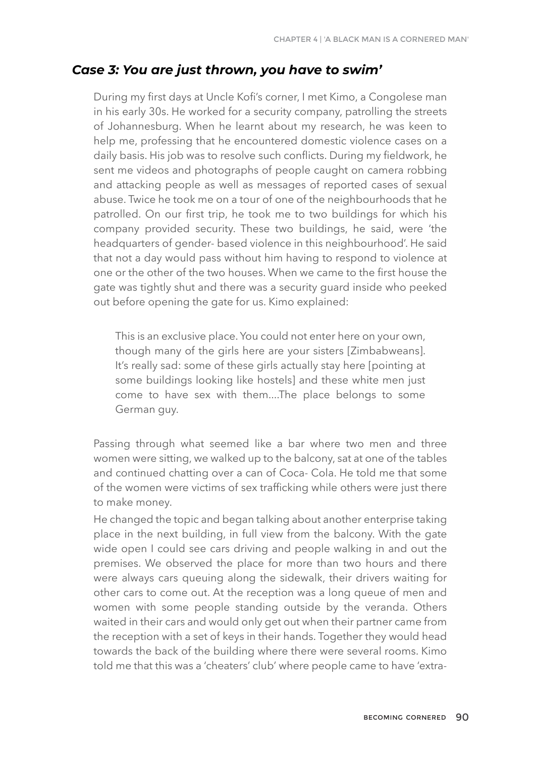### *Case 3: You are just thrown, you have to swim'*

During my first days at Uncle Kofi's corner, I met Kimo, a Congolese man in his early 30s. He worked for a security company, patrolling the streets of Johannesburg. When he learnt about my research, he was keen to help me, professing that he encountered domestic violence cases on a daily basis. His job was to resolve such conflicts. During my fieldwork, he sent me videos and photographs of people caught on camera robbing and attacking people as well as messages of reported cases of sexual abuse. Twice he took me on a tour of one of the neighbourhoods that he patrolled. On our first trip, he took me to two buildings for which his company provided security. These two buildings, he said, were 'the headquarters of gender- based violence in this neighbourhood'. He said that not a day would pass without him having to respond to violence at one or the other of the two houses. When we came to the first house the gate was tightly shut and there was a security guard inside who peeked out before opening the gate for us. Kimo explained:

This is an exclusive place. You could not enter here on your own, though many of the girls here are your sisters [Zimbabweans]. It's really sad: some of these girls actually stay here [pointing at some buildings looking like hostels] and these white men just come to have sex with them....The place belongs to some German guy.

Passing through what seemed like a bar where two men and three women were sitting, we walked up to the balcony, sat at one of the tables and continued chatting over a can of Coca- Cola. He told me that some of the women were victims of sex trafficking while others were just there to make money.

He changed the topic and began talking about another enterprise taking place in the next building, in full view from the balcony. With the gate wide open I could see cars driving and people walking in and out the premises. We observed the place for more than two hours and there were always cars queuing along the sidewalk, their drivers waiting for other cars to come out. At the reception was a long queue of men and women with some people standing outside by the veranda. Others waited in their cars and would only get out when their partner came from the reception with a set of keys in their hands. Together they would head towards the back of the building where there were several rooms. Kimo told me that this was a 'cheaters' club' where people came to have 'extra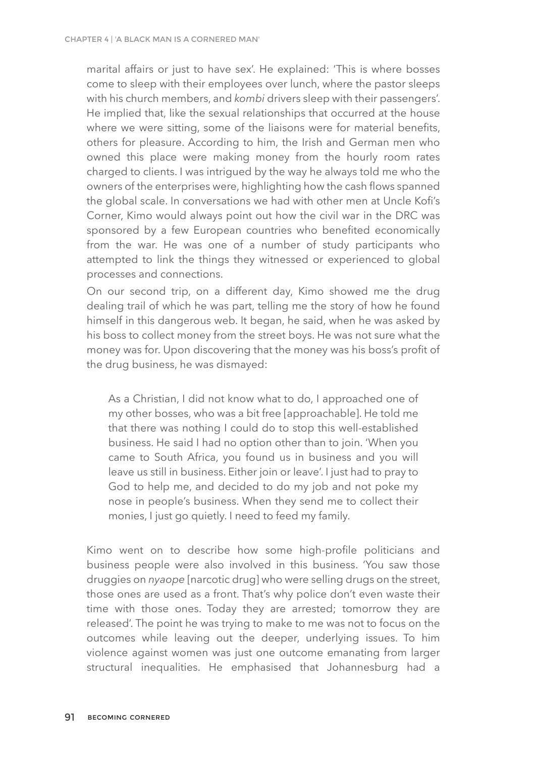marital affairs or just to have sex'. He explained: 'This is where bosses come to sleep with their employees over lunch, where the pastor sleeps with his church members, and *kombi* drivers sleep with their passengers'. He implied that, like the sexual relationships that occurred at the house where we were sitting, some of the liaisons were for material benefits, others for pleasure. According to him, the Irish and German men who owned this place were making money from the hourly room rates charged to clients. I was intrigued by the way he always told me who the owners of the enterprises were, highlighting how the cash flows spanned the global scale. In conversations we had with other men at Uncle Kofi's Corner, Kimo would always point out how the civil war in the DRC was sponsored by a few European countries who benefited economically from the war. He was one of a number of study participants who attempted to link the things they witnessed or experienced to global processes and connections.

On our second trip, on a different day, Kimo showed me the drug dealing trail of which he was part, telling me the story of how he found himself in this dangerous web. It began, he said, when he was asked by his boss to collect money from the street boys. He was not sure what the money was for. Upon discovering that the money was his boss's profit of the drug business, he was dismayed:

As a Christian, I did not know what to do, I approached one of my other bosses, who was a bit free [approachable]. He told me that there was nothing I could do to stop this well-established business. He said I had no option other than to join. 'When you came to South Africa, you found us in business and you will leave us still in business. Either join or leave'. I just had to pray to God to help me, and decided to do my job and not poke my nose in people's business. When they send me to collect their monies, I just go quietly. I need to feed my family.

Kimo went on to describe how some high-profile politicians and business people were also involved in this business. 'You saw those druggies on *nyaope* [narcotic drug] who were selling drugs on the street, those ones are used as a front. That's why police don't even waste their time with those ones. Today they are arrested; tomorrow they are released'. The point he was trying to make to me was not to focus on the outcomes while leaving out the deeper, underlying issues. To him violence against women was just one outcome emanating from larger structural inequalities. He emphasised that Johannesburg had a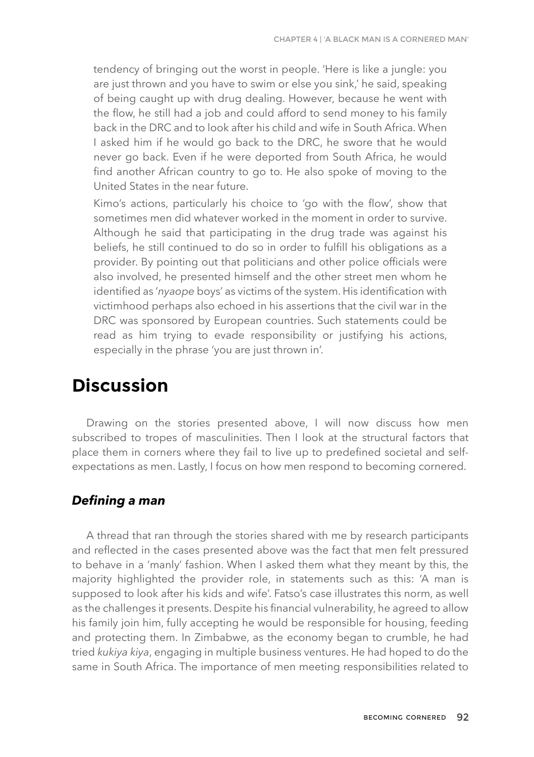tendency of bringing out the worst in people. 'Here is like a jungle: you are just thrown and you have to swim or else you sink,' he said, speaking of being caught up with drug dealing. However, because he went with the flow, he still had a job and could afford to send money to his family back in the DRC and to look after his child and wife in South Africa. When I asked him if he would go back to the DRC, he swore that he would never go back. Even if he were deported from South Africa, he would find another African country to go to. He also spoke of moving to the United States in the near future.

Kimo's actions, particularly his choice to 'go with the flow', show that sometimes men did whatever worked in the moment in order to survive. Although he said that participating in the drug trade was against his beliefs, he still continued to do so in order to fulfill his obligations as a provider. By pointing out that politicians and other police officials were also involved, he presented himself and the other street men whom he identified as '*nyaope* boys' as victims of the system. His identification with victimhood perhaps also echoed in his assertions that the civil war in the DRC was sponsored by European countries. Such statements could be read as him trying to evade responsibility or justifying his actions, especially in the phrase 'you are just thrown in'.

# **Discussion**

Drawing on the stories presented above, I will now discuss how men subscribed to tropes of masculinities. Then I look at the structural factors that place them in corners where they fail to live up to predefined societal and selfexpectations as men. Lastly, I focus on how men respond to becoming cornered.

### *Defining a man*

A thread that ran through the stories shared with me by research participants and reflected in the cases presented above was the fact that men felt pressured to behave in a 'manly' fashion. When I asked them what they meant by this, the majority highlighted the provider role, in statements such as this: 'A man is supposed to look after his kids and wife'. Fatso's case illustrates this norm, as well as the challenges it presents. Despite his financial vulnerability, he agreed to allow his family join him, fully accepting he would be responsible for housing, feeding and protecting them. In Zimbabwe, as the economy began to crumble, he had tried *kukiya kiya*, engaging in multiple business ventures. He had hoped to do the same in South Africa. The importance of men meeting responsibilities related to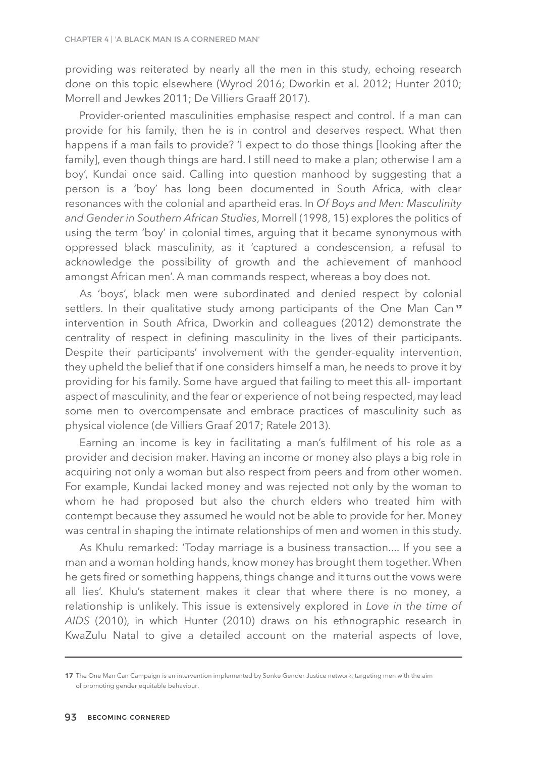providing was reiterated by nearly all the men in this study, echoing research done on this topic elsewhere (Wyrod 2016; Dworkin et al. 2012; Hunter 2010; Morrell and Jewkes 2011; De Villiers Graaff 2017).

Provider-oriented masculinities emphasise respect and control. If a man can provide for his family, then he is in control and deserves respect. What then happens if a man fails to provide? 'I expect to do those things [looking after the family], even though things are hard. I still need to make a plan; otherwise I am a boy', Kundai once said. Calling into question manhood by suggesting that a person is a 'boy' has long been documented in South Africa, with clear resonances with the colonial and apartheid eras. In *Of Boys and Men: Masculinity and Gender in Southern African Studies*, Morrell (1998, 15) explores the politics of using the term 'boy' in colonial times, arguing that it became synonymous with oppressed black masculinity, as it 'captured a condescension, a refusal to acknowledge the possibility of growth and the achievement of manhood amongst African men'. A man commands respect, whereas a boy does not.

As 'boys', black men were subordinated and denied respect by colonial settlers. In their qualitative study among participants of the One Man Can<sup>17</sup> intervention in South Africa, Dworkin and colleagues (2012) demonstrate the centrality of respect in defining masculinity in the lives of their participants. Despite their participants' involvement with the gender-equality intervention, they upheld the belief that if one considers himself a man, he needs to prove it by providing for his family. Some have argued that failing to meet this all- important aspect of masculinity, and the fear or experience of not being respected, may lead some men to overcompensate and embrace practices of masculinity such as physical violence (de Villiers Graaf 2017; Ratele 2013).

Earning an income is key in facilitating a man's fulfilment of his role as a provider and decision maker. Having an income or money also plays a big role in acquiring not only a woman but also respect from peers and from other women. For example, Kundai lacked money and was rejected not only by the woman to whom he had proposed but also the church elders who treated him with contempt because they assumed he would not be able to provide for her. Money was central in shaping the intimate relationships of men and women in this study.

As Khulu remarked: 'Today marriage is a business transaction.... If you see a man and a woman holding hands, know money has brought them together. When he gets fired or something happens, things change and it turns out the vows were all lies'. Khulu's statement makes it clear that where there is no money, a relationship is unlikely. This issue is extensively explored in *Love in the time of AIDS* (2010), in which Hunter (2010) draws on his ethnographic research in KwaZulu Natal to give a detailed account on the material aspects of love,

**<sup>17</sup>** The One Man Can Campaign is an intervention implemented by Sonke Gender Justice network, targeting men with the aim of promoting gender equitable behaviour.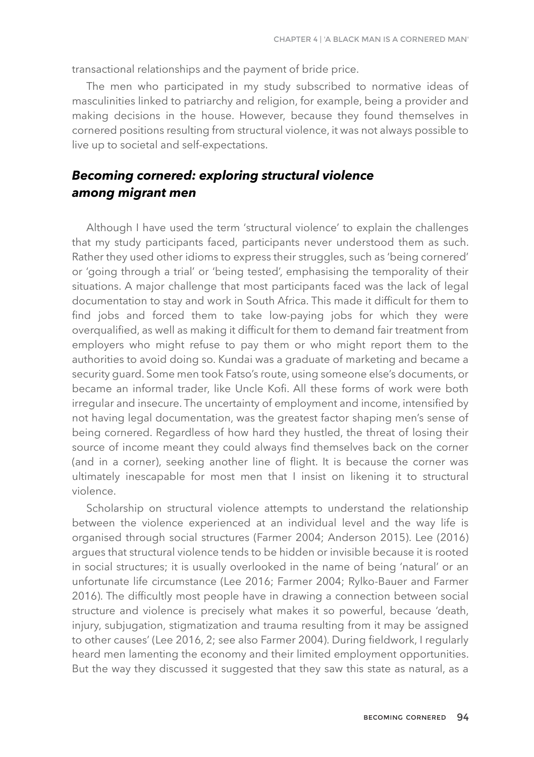transactional relationships and the payment of bride price.

The men who participated in my study subscribed to normative ideas of masculinities linked to patriarchy and religion, for example, being a provider and making decisions in the house. However, because they found themselves in cornered positions resulting from structural violence, it was not always possible to live up to societal and self-expectations.

### *Becoming cornered: exploring structural violence among migrant men*

Although I have used the term 'structural violence' to explain the challenges that my study participants faced, participants never understood them as such. Rather they used other idioms to express their struggles, such as 'being cornered' or 'going through a trial' or 'being tested', emphasising the temporality of their situations. A major challenge that most participants faced was the lack of legal documentation to stay and work in South Africa. This made it difficult for them to find jobs and forced them to take low-paying jobs for which they were overqualified, as well as making it difficult for them to demand fair treatment from employers who might refuse to pay them or who might report them to the authorities to avoid doing so. Kundai was a graduate of marketing and became a security guard. Some men took Fatso's route, using someone else's documents, or became an informal trader, like Uncle Kofi. All these forms of work were both irregular and insecure. The uncertainty of employment and income, intensified by not having legal documentation, was the greatest factor shaping men's sense of being cornered. Regardless of how hard they hustled, the threat of losing their source of income meant they could always find themselves back on the corner (and in a corner), seeking another line of flight. It is because the corner was ultimately inescapable for most men that I insist on likening it to structural violence.

Scholarship on structural violence attempts to understand the relationship between the violence experienced at an individual level and the way life is organised through social structures (Farmer 2004; Anderson 2015). Lee (2016) argues that structural violence tends to be hidden or invisible because it is rooted in social structures; it is usually overlooked in the name of being 'natural' or an unfortunate life circumstance (Lee 2016; Farmer 2004; Rylko-Bauer and Farmer 2016). The difficultly most people have in drawing a connection between social structure and violence is precisely what makes it so powerful, because 'death, injury, subjugation, stigmatization and trauma resulting from it may be assigned to other causes' (Lee 2016, 2; see also Farmer 2004). During fieldwork, I regularly heard men lamenting the economy and their limited employment opportunities. But the way they discussed it suggested that they saw this state as natural, as a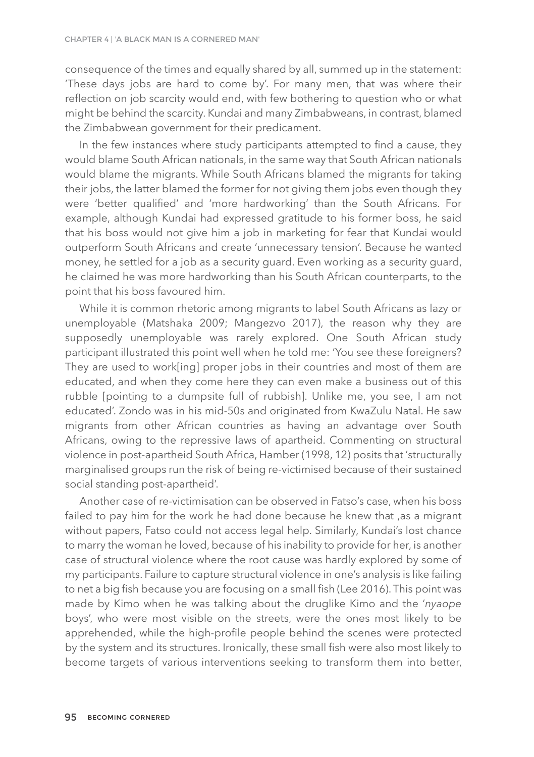consequence of the times and equally shared by all, summed up in the statement: 'These days jobs are hard to come by'. For many men, that was where their reflection on job scarcity would end, with few bothering to question who or what might be behind the scarcity. Kundai and many Zimbabweans, in contrast, blamed the Zimbabwean government for their predicament.

In the few instances where study participants attempted to find a cause, they would blame South African nationals, in the same way that South African nationals would blame the migrants. While South Africans blamed the migrants for taking their jobs, the latter blamed the former for not giving them jobs even though they were 'better qualified' and 'more hardworking' than the South Africans. For example, although Kundai had expressed gratitude to his former boss, he said that his boss would not give him a job in marketing for fear that Kundai would outperform South Africans and create 'unnecessary tension'. Because he wanted money, he settled for a job as a security guard. Even working as a security guard, he claimed he was more hardworking than his South African counterparts, to the point that his boss favoured him.

While it is common rhetoric among migrants to label South Africans as lazy or unemployable (Matshaka 2009; Mangezvo 2017), the reason why they are supposedly unemployable was rarely explored. One South African study participant illustrated this point well when he told me: 'You see these foreigners? They are used to work[ing] proper jobs in their countries and most of them are educated, and when they come here they can even make a business out of this rubble [pointing to a dumpsite full of rubbish]. Unlike me, you see, I am not educated'. Zondo was in his mid-50s and originated from KwaZulu Natal. He saw migrants from other African countries as having an advantage over South Africans, owing to the repressive laws of apartheid. Commenting on structural violence in post-apartheid South Africa, Hamber (1998, 12) posits that 'structurally marginalised groups run the risk of being re-victimised because of their sustained social standing post-apartheid'.

Another case of re-victimisation can be observed in Fatso's case, when his boss failed to pay him for the work he had done because he knew that ,as a migrant without papers, Fatso could not access legal help. Similarly, Kundai's lost chance to marry the woman he loved, because of his inability to provide for her, is another case of structural violence where the root cause was hardly explored by some of my participants. Failure to capture structural violence in one's analysis is like failing to net a big fish because you are focusing on a small fish (Lee 2016). This point was made by Kimo when he was talking about the druglike Kimo and the '*nyaope* boys', who were most visible on the streets, were the ones most likely to be apprehended, while the high-profile people behind the scenes were protected by the system and its structures. Ironically, these small fish were also most likely to become targets of various interventions seeking to transform them into better,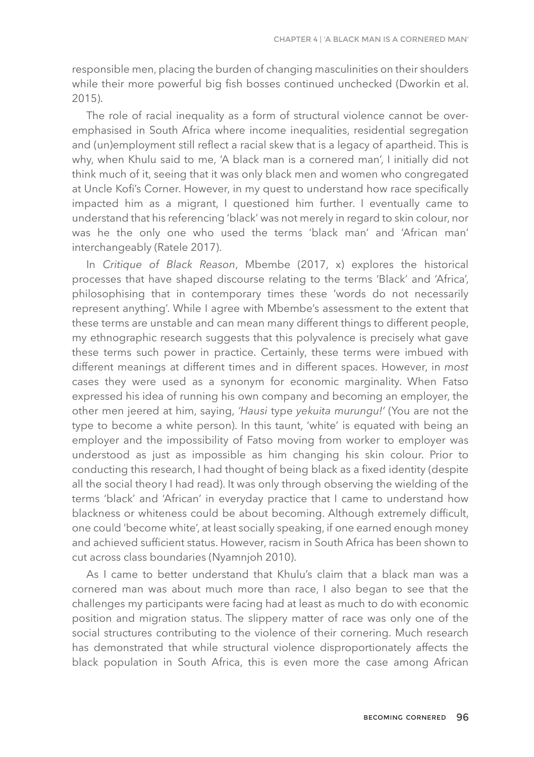responsible men, placing the burden of changing masculinities on their shoulders while their more powerful big fish bosses continued unchecked (Dworkin et al. 2015).

The role of racial inequality as a form of structural violence cannot be overemphasised in South Africa where income inequalities, residential segregation and (un)employment still reflect a racial skew that is a legacy of apartheid. This is why, when Khulu said to me, 'A black man is a cornered man', I initially did not think much of it, seeing that it was only black men and women who congregated at Uncle Kofi's Corner. However, in my quest to understand how race specifically impacted him as a migrant, I questioned him further. I eventually came to understand that his referencing 'black' was not merely in regard to skin colour, nor was he the only one who used the terms 'black man' and 'African man' interchangeably (Ratele 2017).

In *Critique of Black Reason*, Mbembe (2017, x) explores the historical processes that have shaped discourse relating to the terms 'Black' and 'Africa', philosophising that in contemporary times these 'words do not necessarily represent anything'. While I agree with Mbembe's assessment to the extent that these terms are unstable and can mean many different things to different people, my ethnographic research suggests that this polyvalence is precisely what gave these terms such power in practice. Certainly, these terms were imbued with different meanings at different times and in different spaces. However, in *most* cases they were used as a synonym for economic marginality. When Fatso expressed his idea of running his own company and becoming an employer, the other men jeered at him, saying, *'Hausi* type *yekuita murungu!'* (You are not the type to become a white person). In this taunt, 'white' is equated with being an employer and the impossibility of Fatso moving from worker to employer was understood as just as impossible as him changing his skin colour. Prior to conducting this research, I had thought of being black as a fixed identity (despite all the social theory I had read). It was only through observing the wielding of the terms 'black' and 'African' in everyday practice that I came to understand how blackness or whiteness could be about becoming. Although extremely difficult, one could 'become white', at least socially speaking, if one earned enough money and achieved sufficient status. However, racism in South Africa has been shown to cut across class boundaries (Nyamnjoh 2010).

As I came to better understand that Khulu's claim that a black man was a cornered man was about much more than race, I also began to see that the challenges my participants were facing had at least as much to do with economic position and migration status. The slippery matter of race was only one of the social structures contributing to the violence of their cornering. Much research has demonstrated that while structural violence disproportionately affects the black population in South Africa, this is even more the case among African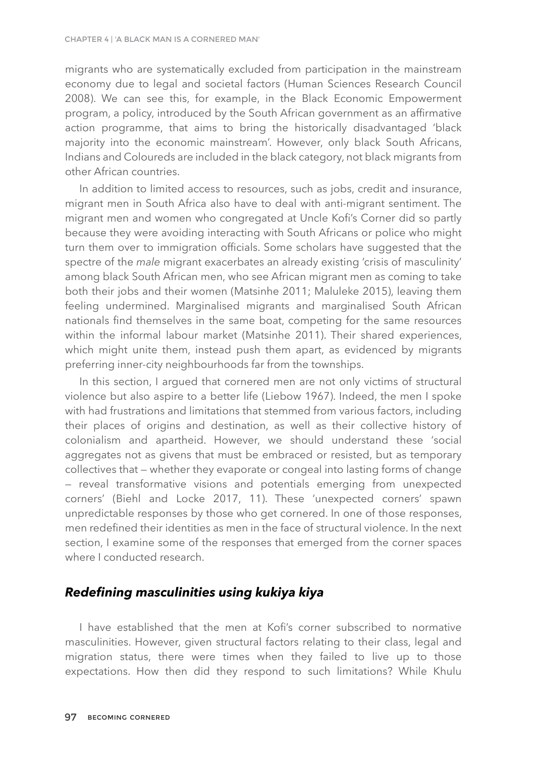migrants who are systematically excluded from participation in the mainstream economy due to legal and societal factors (Human Sciences Research Council 2008). We can see this, for example, in the Black Economic Empowerment program, a policy, introduced by the South African government as an affirmative action programme, that aims to bring the historically disadvantaged 'black majority into the economic mainstream'. However, only black South Africans, Indians and Coloureds are included in the black category, not black migrants from other African countries.

In addition to limited access to resources, such as jobs, credit and insurance, migrant men in South Africa also have to deal with anti-migrant sentiment. The migrant men and women who congregated at Uncle Kofi's Corner did so partly because they were avoiding interacting with South Africans or police who might turn them over to immigration officials. Some scholars have suggested that the spectre of the *male* migrant exacerbates an already existing 'crisis of masculinity' among black South African men, who see African migrant men as coming to take both their jobs and their women (Matsinhe 2011; Maluleke 2015), leaving them feeling undermined. Marginalised migrants and marginalised South African nationals find themselves in the same boat, competing for the same resources within the informal labour market (Matsinhe 2011). Their shared experiences, which might unite them, instead push them apart, as evidenced by migrants preferring inner-city neighbourhoods far from the townships.

In this section, I argued that cornered men are not only victims of structural violence but also aspire to a better life (Liebow 1967). Indeed, the men I spoke with had frustrations and limitations that stemmed from various factors, including their places of origins and destination, as well as their collective history of colonialism and apartheid. However, we should understand these 'social aggregates not as givens that must be embraced or resisted, but as temporary collectives that — whether they evaporate or congeal into lasting forms of change — reveal transformative visions and potentials emerging from unexpected corners' (Biehl and Locke 2017, 11). These 'unexpected corners' spawn unpredictable responses by those who get cornered. In one of those responses, men redefined their identities as men in the face of structural violence. In the next section, I examine some of the responses that emerged from the corner spaces where I conducted research.

### *Redefining masculinities using kukiya kiya*

I have established that the men at Kofi's corner subscribed to normative masculinities. However, given structural factors relating to their class, legal and migration status, there were times when they failed to live up to those expectations. How then did they respond to such limitations? While Khulu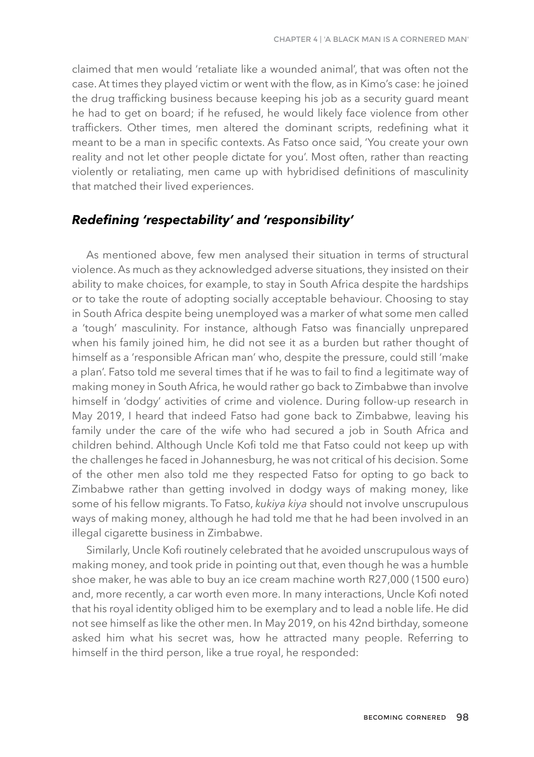claimed that men would 'retaliate like a wounded animal', that was often not the case. At times they played victim or went with the flow, as in Kimo's case: he joined the drug trafficking business because keeping his job as a security guard meant he had to get on board; if he refused, he would likely face violence from other traffickers. Other times, men altered the dominant scripts, redefining what it meant to be a man in specific contexts. As Fatso once said, 'You create your own reality and not let other people dictate for you'. Most often, rather than reacting violently or retaliating, men came up with hybridised definitions of masculinity that matched their lived experiences.

#### *Redefining 'respectability' and 'responsibility'*

As mentioned above, few men analysed their situation in terms of structural violence. As much as they acknowledged adverse situations, they insisted on their ability to make choices, for example, to stay in South Africa despite the hardships or to take the route of adopting socially acceptable behaviour. Choosing to stay in South Africa despite being unemployed was a marker of what some men called a 'tough' masculinity. For instance, although Fatso was financially unprepared when his family joined him, he did not see it as a burden but rather thought of himself as a 'responsible African man' who, despite the pressure, could still 'make a plan'. Fatso told me several times that if he was to fail to find a legitimate way of making money in South Africa, he would rather go back to Zimbabwe than involve himself in 'dodgy' activities of crime and violence. During follow-up research in May 2019, I heard that indeed Fatso had gone back to Zimbabwe, leaving his family under the care of the wife who had secured a job in South Africa and children behind. Although Uncle Kofi told me that Fatso could not keep up with the challenges he faced in Johannesburg, he was not critical of his decision. Some of the other men also told me they respected Fatso for opting to go back to Zimbabwe rather than getting involved in dodgy ways of making money, like some of his fellow migrants. To Fatso, *kukiya kiya* should not involve unscrupulous ways of making money, although he had told me that he had been involved in an illegal cigarette business in Zimbabwe.

Similarly, Uncle Kofi routinely celebrated that he avoided unscrupulous ways of making money, and took pride in pointing out that, even though he was a humble shoe maker, he was able to buy an ice cream machine worth R27,000 (1500 euro) and, more recently, a car worth even more. In many interactions, Uncle Kofi noted that his royal identity obliged him to be exemplary and to lead a noble life. He did not see himself as like the other men. In May 2019, on his 42nd birthday, someone asked him what his secret was, how he attracted many people. Referring to himself in the third person, like a true royal, he responded: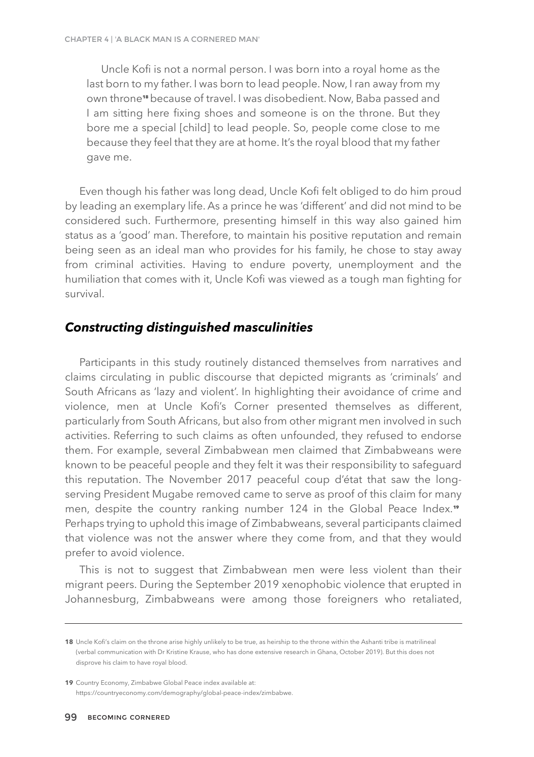Uncle Kofi is not a normal person. I was born into a royal home as the last born to my father. I was born to lead people. Now, I ran away from my own throne**18** because of travel. I was disobedient. Now, Baba passed and I am sitting here fixing shoes and someone is on the throne. But they bore me a special [child] to lead people. So, people come close to me because they feel that they are at home. It's the royal blood that my father gave me.

Even though his father was long dead, Uncle Kofi felt obliged to do him proud by leading an exemplary life. As a prince he was 'different' and did not mind to be considered such. Furthermore, presenting himself in this way also gained him status as a 'good' man. Therefore, to maintain his positive reputation and remain being seen as an ideal man who provides for his family, he chose to stay away from criminal activities. Having to endure poverty, unemployment and the humiliation that comes with it, Uncle Kofi was viewed as a tough man fighting for survival.

#### *Constructing distinguished masculinities*

Participants in this study routinely distanced themselves from narratives and claims circulating in public discourse that depicted migrants as 'criminals' and South Africans as 'lazy and violent'. In highlighting their avoidance of crime and violence, men at Uncle Kofi's Corner presented themselves as different, particularly from South Africans, but also from other migrant men involved in such activities. Referring to such claims as often unfounded, they refused to endorse them. For example, several Zimbabwean men claimed that Zimbabweans were known to be peaceful people and they felt it was their responsibility to safeguard this reputation. The November 2017 peaceful coup d'état that saw the longserving President Mugabe removed came to serve as proof of this claim for many men, despite the country ranking number 124 in the Global Peace Index.<sup>19</sup> Perhaps trying to uphold this image of Zimbabweans, several participants claimed that violence was not the answer where they come from, and that they would prefer to avoid violence.

This is not to suggest that Zimbabwean men were less violent than their migrant peers. During the September 2019 xenophobic violence that erupted in Johannesburg, Zimbabweans were among those foreigners who retaliated,

<sup>18</sup> Uncle Kofi's claim on the throne arise highly unlikely to be true, as heirship to the throne within the Ashanti tribe is matrilineal (verbal communication with Dr Kristine Krause, who has done extensive research in Ghana, October 2019). But this does not disprove his claim to have royal blood.

**<sup>19</sup>** Country Economy, Zimbabwe Global Peace index available at: https://countryeconomy.com/demography/global-peace-index/zimbabwe.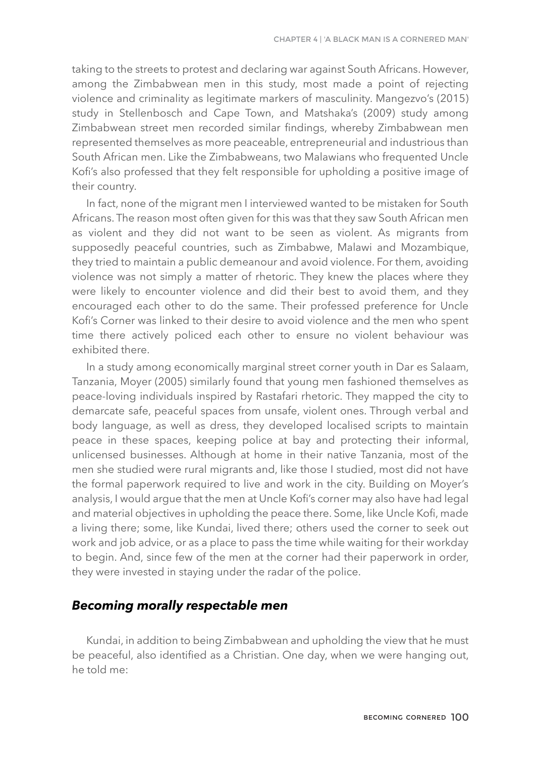taking to the streets to protest and declaring war against South Africans. However, among the Zimbabwean men in this study, most made a point of rejecting violence and criminality as legitimate markers of masculinity. Mangezvo's (2015) study in Stellenbosch and Cape Town, and Matshaka's (2009) study among Zimbabwean street men recorded similar findings, whereby Zimbabwean men represented themselves as more peaceable, entrepreneurial and industrious than South African men. Like the Zimbabweans, two Malawians who frequented Uncle Kofi's also professed that they felt responsible for upholding a positive image of their country.

In fact, none of the migrant men I interviewed wanted to be mistaken for South Africans. The reason most often given for this was that they saw South African men as violent and they did not want to be seen as violent. As migrants from supposedly peaceful countries, such as Zimbabwe, Malawi and Mozambique, they tried to maintain a public demeanour and avoid violence. For them, avoiding violence was not simply a matter of rhetoric. They knew the places where they were likely to encounter violence and did their best to avoid them, and they encouraged each other to do the same. Their professed preference for Uncle Kofi's Corner was linked to their desire to avoid violence and the men who spent time there actively policed each other to ensure no violent behaviour was exhibited there.

In a study among economically marginal street corner youth in Dar es Salaam, Tanzania, Moyer (2005) similarly found that young men fashioned themselves as peace-loving individuals inspired by Rastafari rhetoric. They mapped the city to demarcate safe, peaceful spaces from unsafe, violent ones. Through verbal and body language, as well as dress, they developed localised scripts to maintain peace in these spaces, keeping police at bay and protecting their informal, unlicensed businesses. Although at home in their native Tanzania, most of the men she studied were rural migrants and, like those I studied, most did not have the formal paperwork required to live and work in the city. Building on Moyer's analysis, I would argue that the men at Uncle Kofi's corner may also have had legal and material objectives in upholding the peace there. Some, like Uncle Kofi, made a living there; some, like Kundai, lived there; others used the corner to seek out work and job advice, or as a place to pass the time while waiting for their workday to begin. And, since few of the men at the corner had their paperwork in order, they were invested in staying under the radar of the police.

#### *Becoming morally respectable men*

Kundai, in addition to being Zimbabwean and upholding the view that he must be peaceful, also identified as a Christian. One day, when we were hanging out, he told me: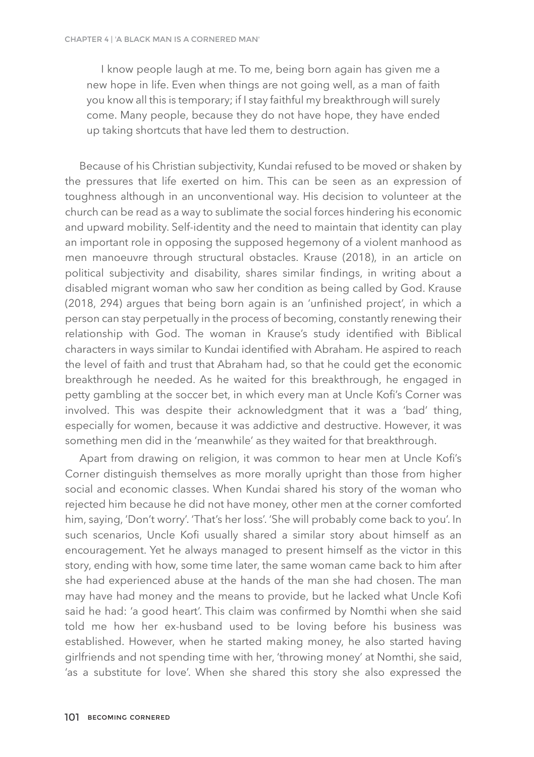I know people laugh at me. To me, being born again has given me a new hope in life. Even when things are not going well, as a man of faith you know all this is temporary; if I stay faithful my breakthrough will surely come. Many people, because they do not have hope, they have ended up taking shortcuts that have led them to destruction.

Because of his Christian subjectivity, Kundai refused to be moved or shaken by the pressures that life exerted on him. This can be seen as an expression of toughness although in an unconventional way. His decision to volunteer at the church can be read as a way to sublimate the social forces hindering his economic and upward mobility. Self-identity and the need to maintain that identity can play an important role in opposing the supposed hegemony of a violent manhood as men manoeuvre through structural obstacles. Krause (2018), in an article on political subjectivity and disability, shares similar findings, in writing about a disabled migrant woman who saw her condition as being called by God. Krause (2018, 294) argues that being born again is an 'unfinished project', in which a person can stay perpetually in the process of becoming, constantly renewing their relationship with God. The woman in Krause's study identified with Biblical characters in ways similar to Kundai identified with Abraham. He aspired to reach the level of faith and trust that Abraham had, so that he could get the economic breakthrough he needed. As he waited for this breakthrough, he engaged in petty gambling at the soccer bet, in which every man at Uncle Kofi's Corner was involved. This was despite their acknowledgment that it was a 'bad' thing, especially for women, because it was addictive and destructive. However, it was something men did in the 'meanwhile' as they waited for that breakthrough.

Apart from drawing on religion, it was common to hear men at Uncle Kofi's Corner distinguish themselves as more morally upright than those from higher social and economic classes. When Kundai shared his story of the woman who rejected him because he did not have money, other men at the corner comforted him, saying, 'Don't worry'. 'That's her loss'. 'She will probably come back to you'. In such scenarios, Uncle Kofi usually shared a similar story about himself as an encouragement. Yet he always managed to present himself as the victor in this story, ending with how, some time later, the same woman came back to him after she had experienced abuse at the hands of the man she had chosen. The man may have had money and the means to provide, but he lacked what Uncle Kofi said he had: 'a good heart'. This claim was confirmed by Nomthi when she said told me how her ex-husband used to be loving before his business was established. However, when he started making money, he also started having girlfriends and not spending time with her, 'throwing money' at Nomthi, she said, 'as a substitute for love'. When she shared this story she also expressed the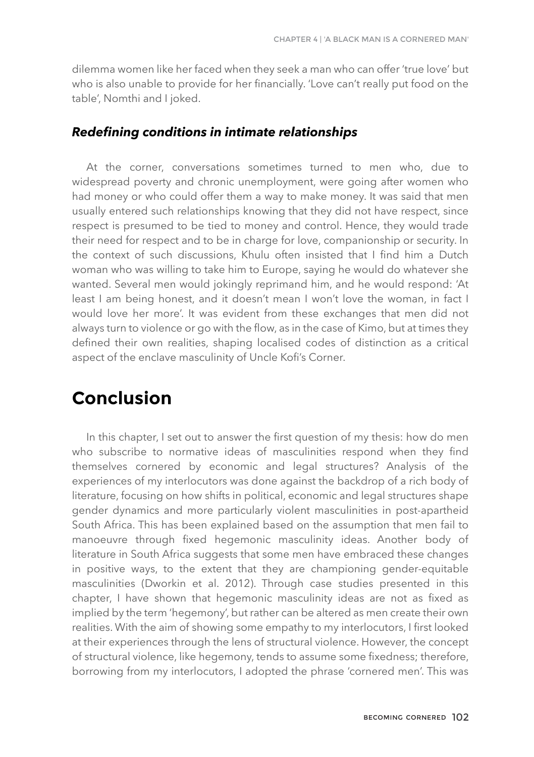dilemma women like her faced when they seek a man who can offer 'true love' but who is also unable to provide for her financially. 'Love can't really put food on the table', Nomthi and I joked.

#### *Redefining conditions in intimate relationships*

At the corner, conversations sometimes turned to men who, due to widespread poverty and chronic unemployment, were going after women who had money or who could offer them a way to make money. It was said that men usually entered such relationships knowing that they did not have respect, since respect is presumed to be tied to money and control. Hence, they would trade their need for respect and to be in charge for love, companionship or security. In the context of such discussions, Khulu often insisted that I find him a Dutch woman who was willing to take him to Europe, saying he would do whatever she wanted. Several men would jokingly reprimand him, and he would respond: 'At least I am being honest, and it doesn't mean I won't love the woman, in fact I would love her more'. It was evident from these exchanges that men did not always turn to violence or go with the flow, as in the case of Kimo, but at times they defined their own realities, shaping localised codes of distinction as a critical aspect of the enclave masculinity of Uncle Kofi's Corner.

# **Conclusion**

In this chapter, I set out to answer the first question of my thesis: how do men who subscribe to normative ideas of masculinities respond when they find themselves cornered by economic and legal structures? Analysis of the experiences of my interlocutors was done against the backdrop of a rich body of literature, focusing on how shifts in political, economic and legal structures shape gender dynamics and more particularly violent masculinities in post-apartheid South Africa. This has been explained based on the assumption that men fail to manoeuvre through fixed hegemonic masculinity ideas. Another body of literature in South Africa suggests that some men have embraced these changes in positive ways, to the extent that they are championing gender-equitable masculinities (Dworkin et al. 2012). Through case studies presented in this chapter, I have shown that hegemonic masculinity ideas are not as fixed as implied by the term 'hegemony', but rather can be altered as men create their own realities. With the aim of showing some empathy to my interlocutors, I first looked at their experiences through the lens of structural violence. However, the concept of structural violence, like hegemony, tends to assume some fixedness; therefore, borrowing from my interlocutors, I adopted the phrase 'cornered men'. This was